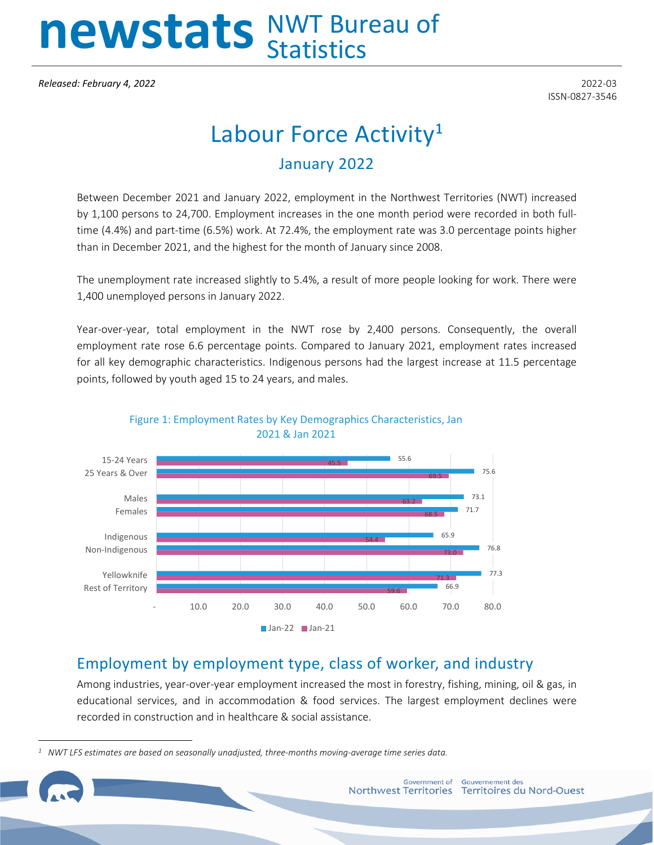# newstats NWT Bureau of

*Released: February 4, 2022* 2022-03

ISSN-0827-3546

## Labour Force Activity**[1](#page-0-0)** January 2022

Between December 2021 and January 2022, employment in the Northwest Territories (NWT) increased by 1,100 persons to 24,700. Employment increases in the one month period were recorded in both fulltime (4.4%) and part-time (6.5%) work. At 72.4%, the employment rate was 3.0 percentage points higher than in December 2021, and the highest for the month of January since 2008.

The unemployment rate increased slightly to 5.4%, a result of more people looking for work. There were 1,400 unemployed persons in January 2022.

Year-over-year, total employment in the NWT rose by 2,400 persons. Consequently, the overall employment rate rose 6.6 percentage points. Compared to January 2021, employment rates increased for all key demographic characteristics. Indigenous persons had the largest increase at 11.5 percentage points, followed by youth aged 15 to 24 years, and males.



Figure 1: Employment Rates by Key Demographics Characteristics, Jan 2021 & Jan 2021

#### Employment by employment type, class of worker, and industry

Among industries, year-over-year employment increased the most in forestry, fishing, mining, oil & gas, in educational services, and in accommodation & food services. The largest employment declines were recorded in construction and in healthcare & social assistance.

<span id="page-0-0"></span>*<sup>1</sup> NWT LFS estimates are based on seasonally unadjusted, three-months moving-average time series data.*